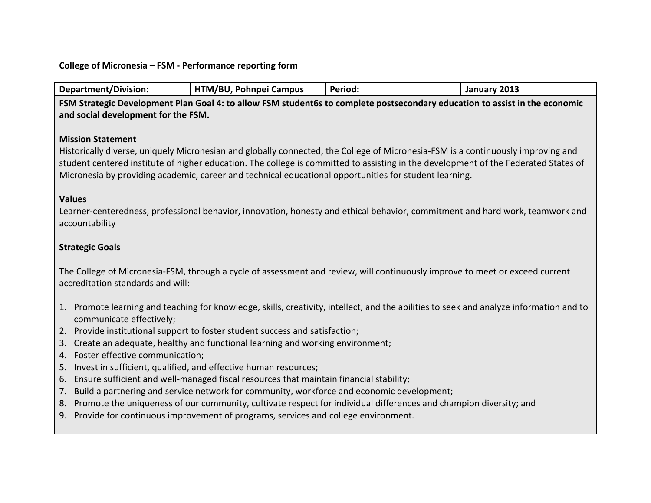## **College of Micronesia – FSM - Performance reporting form**

| Department/Division: | HTM/BU,<br>, Pohnpei Campus | Period. | January 2013 |
|----------------------|-----------------------------|---------|--------------|
|----------------------|-----------------------------|---------|--------------|

FSM Strategic Development Plan Goal 4: to allow FSM student6s to complete postsecondary education to assist in the economic and social development for the FSM.

### **Mission Statement**

Historically diverse, uniquely Micronesian and globally connected, the College of Micronesia-FSM is a continuously improving and student centered institute of higher education. The college is committed to assisting in the development of the Federated States of Micronesia by providing academic, career and technical educational opportunities for student learning.

#### **Values**

Learner-centeredness, professional behavior, innovation, honesty and ethical behavior, commitment and hard work, teamwork and accountability

# **Strategic Goals**

The College of Micronesia-FSM, through a cycle of assessment and review, will continuously improve to meet or exceed current accreditation standards and will:

- 1. Promote learning and teaching for knowledge, skills, creativity, intellect, and the abilities to seek and analyze information and to communicate effectively;
- 2. Provide institutional support to foster student success and satisfaction;
- 3. Create an adequate, healthy and functional learning and working environment;
- 4. Foster effective communication;
- 5. Invest in sufficient, qualified, and effective human resources;
- 6. Ensure sufficient and well-managed fiscal resources that maintain financial stability;
- 7. Build a partnering and service network for community, workforce and economic development;
- 8. Promote the uniqueness of our community, cultivate respect for individual differences and champion diversity; and
- 9. Provide for continuous improvement of programs, services and college environment.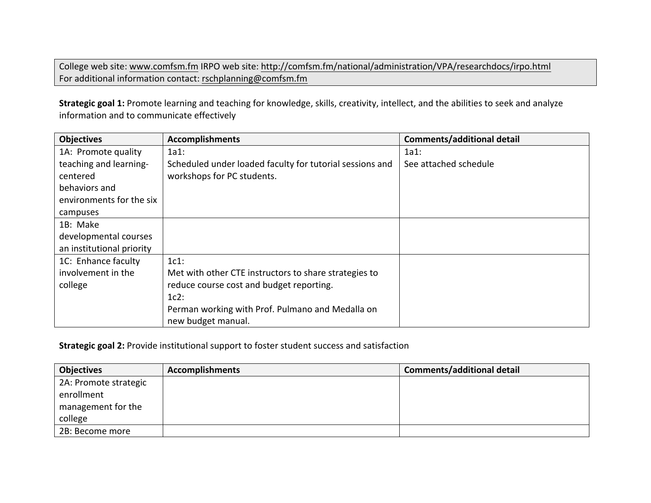College web site: www.comfsm.fm IRPO web site: http://comfsm.fm/national/administration/VPA/researchdocs/irpo.html For additional information contact: rschplanning@comfsm.fm

Strategic goal 1: Promote learning and teaching for knowledge, skills, creativity, intellect, and the abilities to seek and analyze information and to communicate effectively

| <b>Objectives</b>         | <b>Accomplishments</b>                                   | <b>Comments/additional detail</b> |
|---------------------------|----------------------------------------------------------|-----------------------------------|
| 1A: Promote quality       | 1a1:                                                     | 1a1:                              |
| teaching and learning-    | Scheduled under loaded faculty for tutorial sessions and | See attached schedule             |
| centered                  | workshops for PC students.                               |                                   |
| behaviors and             |                                                          |                                   |
| environments for the six  |                                                          |                                   |
| campuses                  |                                                          |                                   |
| 1B: Make                  |                                                          |                                   |
| developmental courses     |                                                          |                                   |
| an institutional priority |                                                          |                                   |
| 1C: Enhance faculty       | $1c1$ :                                                  |                                   |
| involvement in the        | Met with other CTE instructors to share strategies to    |                                   |
| college                   | reduce course cost and budget reporting.                 |                                   |
|                           | $1c2$ :                                                  |                                   |
|                           | Perman working with Prof. Pulmano and Medalla on         |                                   |
|                           | new budget manual.                                       |                                   |

# **Strategic goal 2:** Provide institutional support to foster student success and satisfaction

| <b>Objectives</b>     | <b>Accomplishments</b> | <b>Comments/additional detail</b> |
|-----------------------|------------------------|-----------------------------------|
| 2A: Promote strategic |                        |                                   |
| enrollment            |                        |                                   |
| management for the    |                        |                                   |
| college               |                        |                                   |
| 2B: Become more       |                        |                                   |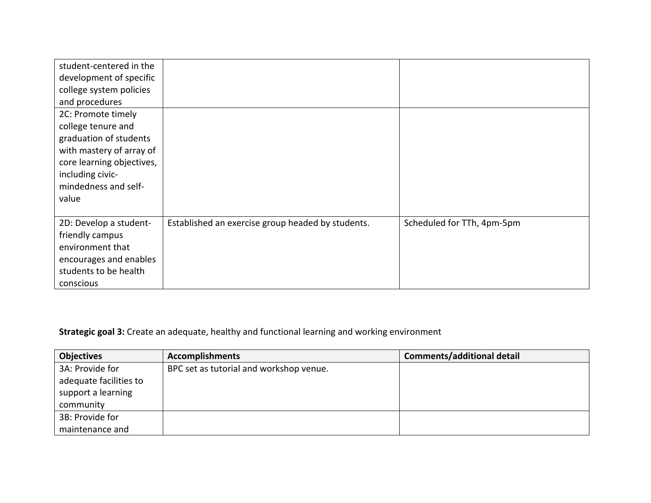| student-centered in the<br>development of specific<br>college system policies<br>and procedures                                                                                  |                                                   |                            |
|----------------------------------------------------------------------------------------------------------------------------------------------------------------------------------|---------------------------------------------------|----------------------------|
| 2C: Promote timely<br>college tenure and<br>graduation of students<br>with mastery of array of<br>core learning objectives,<br>including civic-<br>mindedness and self-<br>value |                                                   |                            |
| 2D: Develop a student-<br>friendly campus<br>environment that<br>encourages and enables<br>students to be health<br>conscious                                                    | Established an exercise group headed by students. | Scheduled for TTh, 4pm-5pm |

**Strategic goal 3:** Create an adequate, healthy and functional learning and working environment

| <b>Objectives</b>      | <b>Accomplishments</b>                  | <b>Comments/additional detail</b> |
|------------------------|-----------------------------------------|-----------------------------------|
| 3A: Provide for        | BPC set as tutorial and workshop venue. |                                   |
| adequate facilities to |                                         |                                   |
| support a learning     |                                         |                                   |
| community              |                                         |                                   |
| 3B: Provide for        |                                         |                                   |
| maintenance and        |                                         |                                   |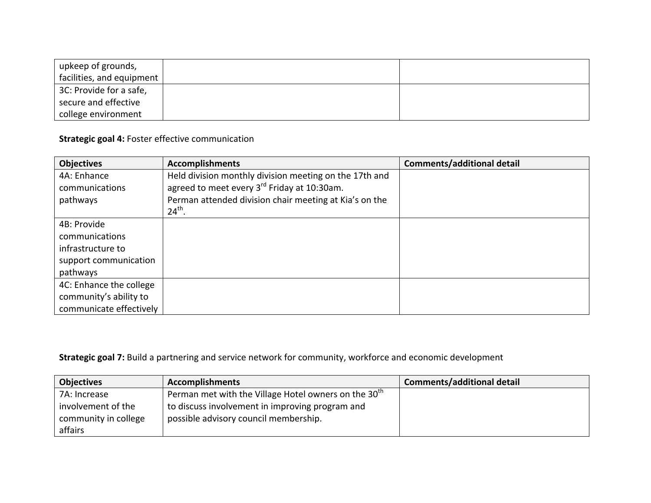| upkeep of grounds,        |  |
|---------------------------|--|
| facilities, and equipment |  |
| 3C: Provide for a safe,   |  |
| secure and effective      |  |
| college environment       |  |

**Strategic goal 4: Foster effective communication** 

| <b>Objectives</b>       | <b>Accomplishments</b>                                  | <b>Comments/additional detail</b> |
|-------------------------|---------------------------------------------------------|-----------------------------------|
| 4A: Enhance             | Held division monthly division meeting on the 17th and  |                                   |
| communications          | agreed to meet every 3 <sup>rd</sup> Friday at 10:30am. |                                   |
| pathways                | Perman attended division chair meeting at Kia's on the  |                                   |
|                         | $24th$ .                                                |                                   |
| 4B: Provide             |                                                         |                                   |
| communications          |                                                         |                                   |
| infrastructure to       |                                                         |                                   |
| support communication   |                                                         |                                   |
| pathways                |                                                         |                                   |
| 4C: Enhance the college |                                                         |                                   |
| community's ability to  |                                                         |                                   |
| communicate effectively |                                                         |                                   |

**Strategic goal 7:** Build a partnering and service network for community, workforce and economic development

| Objectives           | <b>Accomplishments</b>                                 | <b>Comments/additional detail</b> |
|----------------------|--------------------------------------------------------|-----------------------------------|
| 7A: Increase         | Perman met with the Village Hotel owners on the $30th$ |                                   |
| involvement of the   | to discuss involvement in improving program and        |                                   |
| community in college | possible advisory council membership.                  |                                   |
| affairs              |                                                        |                                   |